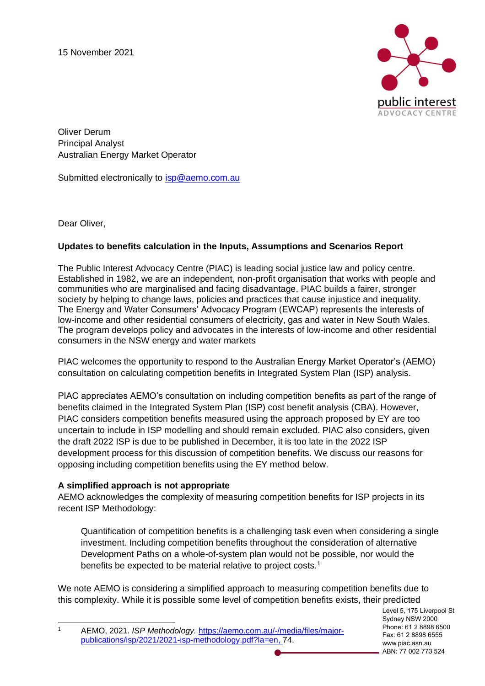

Oliver Derum Principal Analyst Australian Energy Market Operator

Submitted electronically to [isp@aemo.com.au](mailto:isp@aemo.com.au)

Dear Oliver,

# **Updates to benefits calculation in the Inputs, Assumptions and Scenarios Report**

The Public Interest Advocacy Centre (PIAC) is leading social justice law and policy centre. Established in 1982, we are an independent, non-profit organisation that works with people and communities who are marginalised and facing disadvantage. PIAC builds a fairer, stronger society by helping to change laws, policies and practices that cause injustice and inequality. The Energy and Water Consumers' Advocacy Program (EWCAP) represents the interests of low-income and other residential consumers of electricity, gas and water in New South Wales. The program develops policy and advocates in the interests of low-income and other residential consumers in the NSW energy and water markets

PIAC welcomes the opportunity to respond to the Australian Energy Market Operator's (AEMO) consultation on calculating competition benefits in Integrated System Plan (ISP) analysis.

PIAC appreciates AEMO's consultation on including competition benefits as part of the range of benefits claimed in the Integrated System Plan (ISP) cost benefit analysis (CBA). However, PIAC considers competition benefits measured using the approach proposed by EY are too uncertain to include in ISP modelling and should remain excluded. PIAC also considers, given the draft 2022 ISP is due to be published in December, it is too late in the 2022 ISP development process for this discussion of competition benefits. We discuss our reasons for opposing including competition benefits using the EY method below.

# **A simplified approach is not appropriate**

AEMO acknowledges the complexity of measuring competition benefits for ISP projects in its recent ISP Methodology:

Quantification of competition benefits is a challenging task even when considering a single investment. Including competition benefits throughout the consideration of alternative Development Paths on a whole-of-system plan would not be possible, nor would the benefits be expected to be material relative to project costs.<sup>1</sup>

We note AEMO is considering a simplified approach to measuring competition benefits due to this complexity. While it is possible some level of competition benefits exists, their predicted

Level 5, 175 Liverpool St Sydney NSW 2000 Phone: 61 2 8898 6500 Fax: 61 2 8898 6555 www.piac.asn.au ABN: 77 002 773 524

<sup>1</sup> AEMO, 2021. *ISP Methodology.* [https://aemo.com.au/-/media/files/major](https://aemo.com.au/-/media/files/major-publications/isp/2021/2021-isp-methodology.pdf?la=en)[publications/isp/2021/2021-isp-methodology.pdf?la=en,](https://aemo.com.au/-/media/files/major-publications/isp/2021/2021-isp-methodology.pdf?la=en) 74.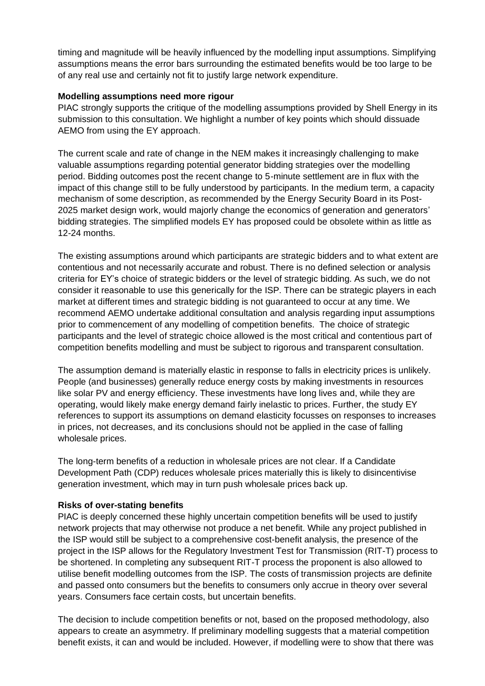timing and magnitude will be heavily influenced by the modelling input assumptions. Simplifying assumptions means the error bars surrounding the estimated benefits would be too large to be of any real use and certainly not fit to justify large network expenditure.

### **Modelling assumptions need more rigour**

PIAC strongly supports the critique of the modelling assumptions provided by Shell Energy in its submission to this consultation. We highlight a number of key points which should dissuade AEMO from using the EY approach.

The current scale and rate of change in the NEM makes it increasingly challenging to make valuable assumptions regarding potential generator bidding strategies over the modelling period. Bidding outcomes post the recent change to 5-minute settlement are in flux with the impact of this change still to be fully understood by participants. In the medium term, a capacity mechanism of some description, as recommended by the Energy Security Board in its Post-2025 market design work, would majorly change the economics of generation and generators' bidding strategies. The simplified models EY has proposed could be obsolete within as little as 12-24 months.

The existing assumptions around which participants are strategic bidders and to what extent are contentious and not necessarily accurate and robust. There is no defined selection or analysis criteria for EY's choice of strategic bidders or the level of strategic bidding. As such, we do not consider it reasonable to use this generically for the ISP. There can be strategic players in each market at different times and strategic bidding is not guaranteed to occur at any time. We recommend AEMO undertake additional consultation and analysis regarding input assumptions prior to commencement of any modelling of competition benefits. The choice of strategic participants and the level of strategic choice allowed is the most critical and contentious part of competition benefits modelling and must be subject to rigorous and transparent consultation.

The assumption demand is materially elastic in response to falls in electricity prices is unlikely. People (and businesses) generally reduce energy costs by making investments in resources like solar PV and energy efficiency. These investments have long lives and, while they are operating, would likely make energy demand fairly inelastic to prices. Further, the study EY references to support its assumptions on demand elasticity focusses on responses to increases in prices, not decreases, and its conclusions should not be applied in the case of falling wholesale prices.

The long-term benefits of a reduction in wholesale prices are not clear. If a Candidate Development Path (CDP) reduces wholesale prices materially this is likely to disincentivise generation investment, which may in turn push wholesale prices back up.

### **Risks of over-stating benefits**

PIAC is deeply concerned these highly uncertain competition benefits will be used to justify network projects that may otherwise not produce a net benefit. While any project published in the ISP would still be subject to a comprehensive cost-benefit analysis, the presence of the project in the ISP allows for the Regulatory Investment Test for Transmission (RIT-T) process to be shortened. In completing any subsequent RIT-T process the proponent is also allowed to utilise benefit modelling outcomes from the ISP. The costs of transmission projects are definite and passed onto consumers but the benefits to consumers only accrue in theory over several years. Consumers face certain costs, but uncertain benefits.

The decision to include competition benefits or not, based on the proposed methodology, also appears to create an asymmetry. If preliminary modelling suggests that a material competition benefit exists, it can and would be included. However, if modelling were to show that there was